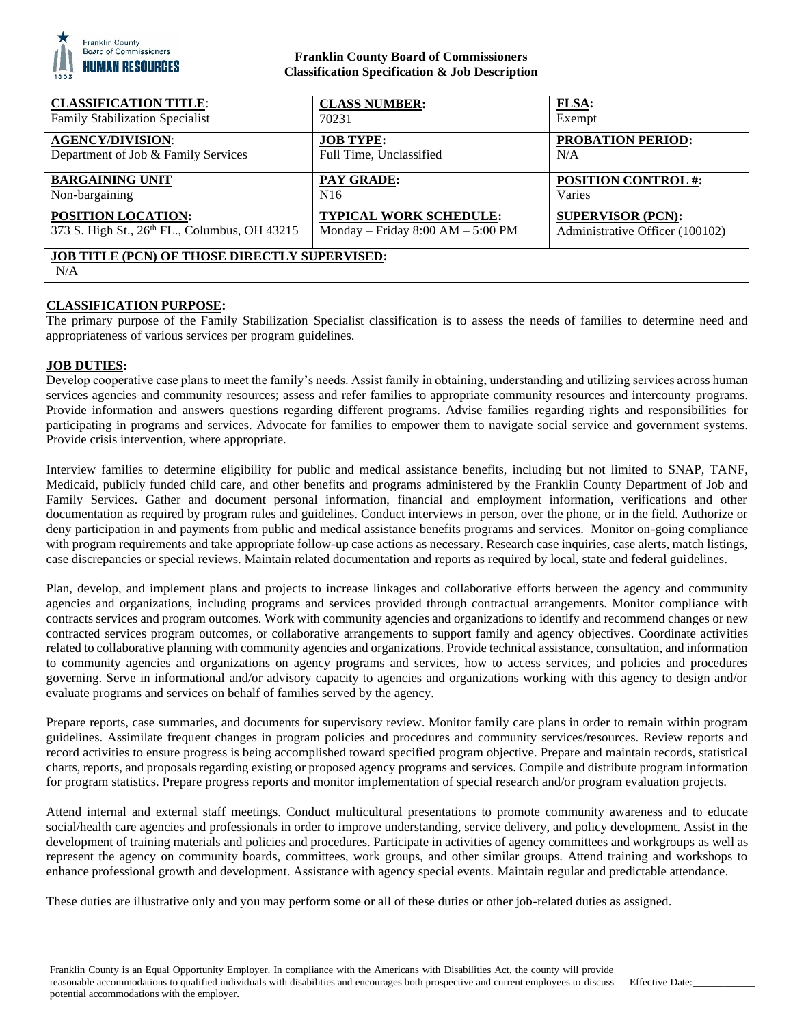

# **Franklin County Board of Commissioners Classification Specification & Job Description**

| <b>CLASSIFICATION TITLE:</b>                                | <b>CLASS NUMBER:</b>                  | <b>FLSA:</b>                    |
|-------------------------------------------------------------|---------------------------------------|---------------------------------|
| <b>Family Stabilization Specialist</b>                      | 70231                                 | Exempt                          |
| <b>AGENCY/DIVISION:</b>                                     | <b>JOB TYPE:</b>                      | <b>PROBATION PERIOD:</b>        |
| Department of Job & Family Services                         | Full Time, Unclassified               | N/A                             |
| <b>BARGAINING UNIT</b>                                      | <b>PAY GRADE:</b>                     | <b>POSITION CONTROL #:</b>      |
| Non-bargaining                                              | N <sub>16</sub>                       | Varies                          |
| POSITION LOCATION:                                          | TYPICAL WORK SCHEDULE:                | <b>SUPERVISOR (PCN):</b>        |
| 373 S. High St., 26th FL., Columbus, OH 43215               | Monday – Friday $8:00$ AM – $5:00$ PM | Administrative Officer (100102) |
| <b>JOB TITLE (PCN) OF THOSE DIRECTLY SUPERVISED:</b><br>N/A |                                       |                                 |

# **CLASSIFICATION PURPOSE:**

The primary purpose of the Family Stabilization Specialist classification is to assess the needs of families to determine need and appropriateness of various services per program guidelines.

# **JOB DUTIES:**

Develop cooperative case plans to meet the family's needs. Assist family in obtaining, understanding and utilizing services across human services agencies and community resources; assess and refer families to appropriate community resources and intercounty programs. Provide information and answers questions regarding different programs. Advise families regarding rights and responsibilities for participating in programs and services. Advocate for families to empower them to navigate social service and government systems. Provide crisis intervention, where appropriate.

Interview families to determine eligibility for public and medical assistance benefits, including but not limited to SNAP, TANF, Medicaid, publicly funded child care, and other benefits and programs administered by the Franklin County Department of Job and Family Services. Gather and document personal information, financial and employment information, verifications and other documentation as required by program rules and guidelines. Conduct interviews in person, over the phone, or in the field. Authorize or deny participation in and payments from public and medical assistance benefits programs and services. Monitor on-going compliance with program requirements and take appropriate follow-up case actions as necessary. Research case inquiries, case alerts, match listings, case discrepancies or special reviews. Maintain related documentation and reports as required by local, state and federal guidelines.

Plan, develop, and implement plans and projects to increase linkages and collaborative efforts between the agency and community agencies and organizations, including programs and services provided through contractual arrangements. Monitor compliance with contracts services and program outcomes. Work with community agencies and organizations to identify and recommend changes or new contracted services program outcomes, or collaborative arrangements to support family and agency objectives. Coordinate activities related to collaborative planning with community agencies and organizations. Provide technical assistance, consultation, and information to community agencies and organizations on agency programs and services, how to access services, and policies and procedures governing. Serve in informational and/or advisory capacity to agencies and organizations working with this agency to design and/or evaluate programs and services on behalf of families served by the agency.

Prepare reports, case summaries, and documents for supervisory review. Monitor family care plans in order to remain within program guidelines. Assimilate frequent changes in program policies and procedures and community services/resources. Review reports and record activities to ensure progress is being accomplished toward specified program objective. Prepare and maintain records, statistical charts, reports, and proposals regarding existing or proposed agency programs and services. Compile and distribute program information for program statistics. Prepare progress reports and monitor implementation of special research and/or program evaluation projects.

Attend internal and external staff meetings. Conduct multicultural presentations to promote community awareness and to educate social/health care agencies and professionals in order to improve understanding, service delivery, and policy development. Assist in the development of training materials and policies and procedures. Participate in activities of agency committees and workgroups as well as represent the agency on community boards, committees, work groups, and other similar groups. Attend training and workshops to enhance professional growth and development. Assistance with agency special events. Maintain regular and predictable attendance.

These duties are illustrative only and you may perform some or all of these duties or other job-related duties as assigned.